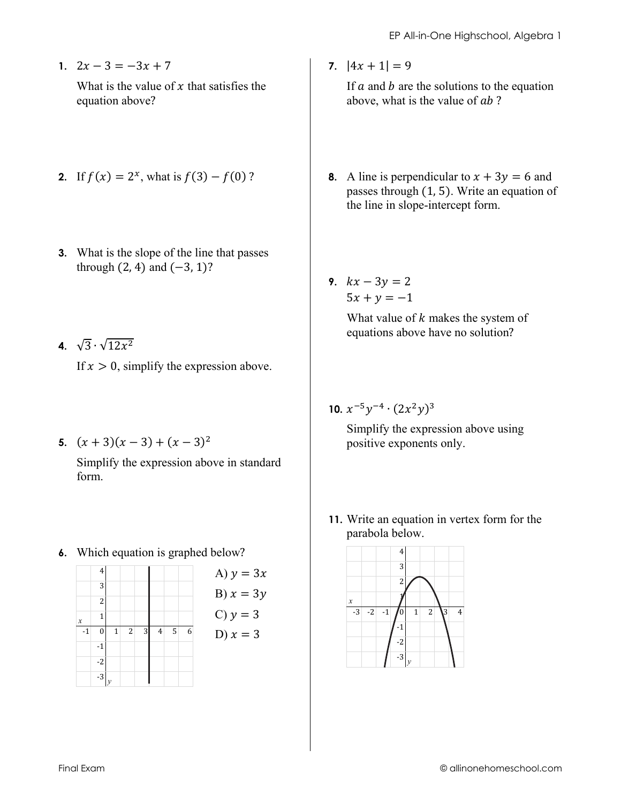- 1.  $2x-3=-3x+7$ What is the value of  $x$  that satisfies the equation above?
- 2. If  $f(x) = 2^x$ , what is  $f(3) f(0)$ ?
- 3. What is the slope of the line that passes through  $(2, 4)$  and  $(-3, 1)$ ?
- 4.  $\sqrt{3} \cdot \sqrt{12x^2}$ If  $x > 0$ , simplify the expression above.
- 5.  $(x+3)(x-3) + (x-3)^2$ Simplify the expression above in standard form.
- 6. Which equation is graphed below?



7.  $|4x + 1| = 9$ 

If  $a$  and  $b$  are the solutions to the equation above, what is the value of ab?

- 8. A line is perpendicular to  $x + 3y = 6$  and passes through  $(1, 5)$ . Write an equation of the line in slope-intercept form.
- 9.  $kx 3y = 2$  $5x + y = -1$

What value of  $k$  makes the system of equations above have no solution?

## 10.  $x^{-5}y^{-4} \cdot (2x^2y)^3$

Simplify the expression above using positive exponents only.

11. Write an equation in vertex form for the parabola below.

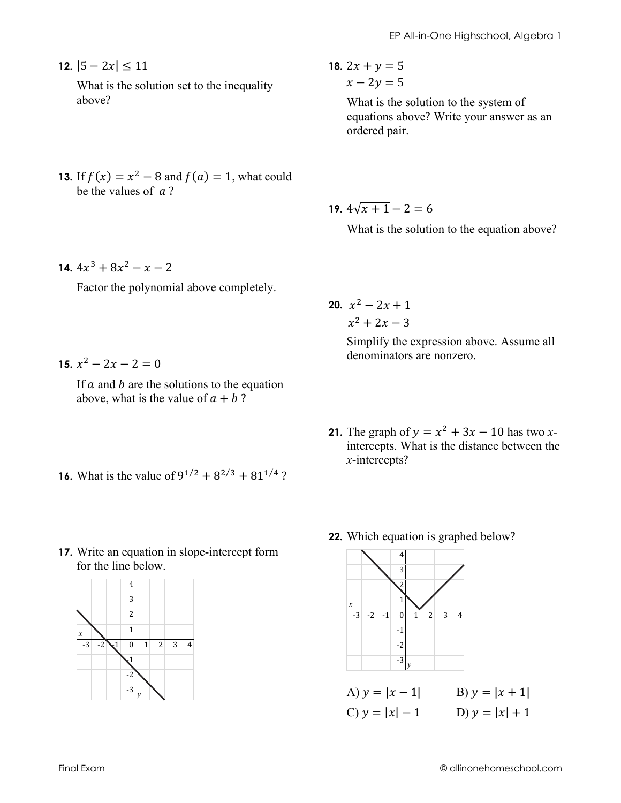- 12.  $|5 2x| \le 11$ What is the solution set to the inequality above?
- **13.** If  $f(x) = x^2 8$  and  $f(a) = 1$ , what could be the values of  $a$ ?
- 14.  $4x^3 + 8x^2 x 2$

Factor the polynomial above completely.

15.  $x^2 - 2x - 2 = 0$ 

If  $a$  and  $b$  are the solutions to the equation above, what is the value of  $a + b$ ?

- 16. What is the value of  $9^{1/2} + 8^{2/3} + 81^{1/4}$ ?
- 17. Write an equation in slope-intercept form for the line below.



18.  $2x + y = 5$  $x - 2y = 5$ 

> What is the solution to the system of equations above? Write your answer as an ordered pair.

19.  $4\sqrt{x+1} - 2 = 6$ 

What is the solution to the equation above?

**20.**  $\frac{x^2 - 2x + 1}{x^2 + 2x - 3}$ 

Simplify the expression above. Assume all denominators are nonzero.

- **21.** The graph of  $y = x^2 + 3x 10$  has two xintercepts. What is the distance between the  $x$ -intercepts?
- 22. Which equation is graphed below?



C)  $y = |x| - 1$ D)  $y = |x| + 1$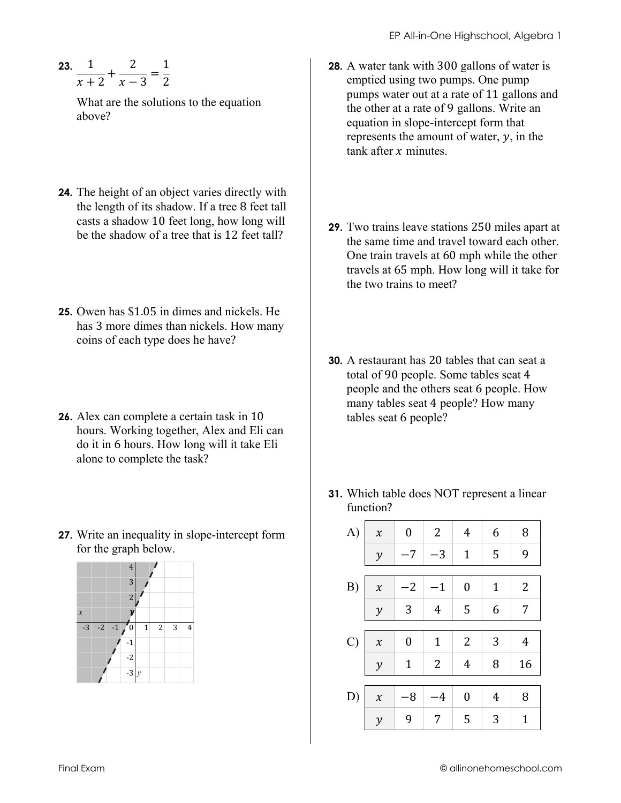**23.**  $\frac{1}{x+2} + \frac{2}{x-3} = \frac{1}{2}$ 

What are the solutions to the equation above?

- 24. The height of an object varies directly with the length of its shadow. If a tree 8 feet tall casts a shadow 10 feet long, how long will be the shadow of a tree that is 12 feet tall?
- **25.** Owen has \$1.05 in dimes and nickels. He has 3 more dimes than nickels. How many coins of each type does he have?
- 26. Alex can complete a certain task in 10 hours. Working together, Alex and Eli can do it in 6 hours. How long will it take Eli alone to complete the task?
- 27. Write an inequality in slope-intercept form for the graph below.



- **28.** A water tank with 300 gallons of water is emptied using two pumps. One pump pumps water out at a rate of 11 gallons and the other at a rate of 9 gallons. Write an equation in slope-intercept form that represents the amount of water,  $y$ , in the tank after  $x$  minutes.
- **29.** Two trains leave stations 250 miles apart at the same time and travel toward each other. One train travels at 60 mph while the other travels at 65 mph. How long will it take for the two trains to meet?
- **30.** A restaurant has 20 tables that can seat a total of 90 people. Some tables seat 4 people and the others seat 6 people. How many tables seat 4 people? How many tables seat 6 people?
- 31. Which table does NOT represent a linear function?

| A)            | $\pmb{\chi}$        | $\boldsymbol{0}$ | $\overline{2}$ | $\overline{4}$   | 6              | 8                |  |
|---------------|---------------------|------------------|----------------|------------------|----------------|------------------|--|
|               | $\mathcal{Y}$       | -7               | $-3$           | $\mathbf{1}$     | 5              | 9                |  |
|               |                     |                  |                |                  |                |                  |  |
| B)            | $\pmb{\chi}$        | $-2$             | $-1$           | $\boldsymbol{0}$ | $\mathbf{1}$   | 2                |  |
|               | $\mathcal{Y}$       | 3                | $\overline{4}$ | 5                | 6              | $\boldsymbol{7}$ |  |
|               |                     |                  |                |                  |                |                  |  |
| $\mathcal{C}$ | $\boldsymbol{\chi}$ | $\boldsymbol{0}$ | $\mathbf{1}$   | 2                | 3              | $\overline{4}$   |  |
|               | $\mathcal{Y}$       | $\mathbf{1}$     | $\overline{2}$ | $\overline{4}$   | 8              | 16               |  |
|               |                     |                  |                |                  |                |                  |  |
| D)            | $\boldsymbol{\chi}$ | -8               | -4             | 0                | $\overline{4}$ | 8                |  |
|               | $\mathcal{Y}$       | 9                | 7              | 5                | 3              | $\mathbf{1}$     |  |